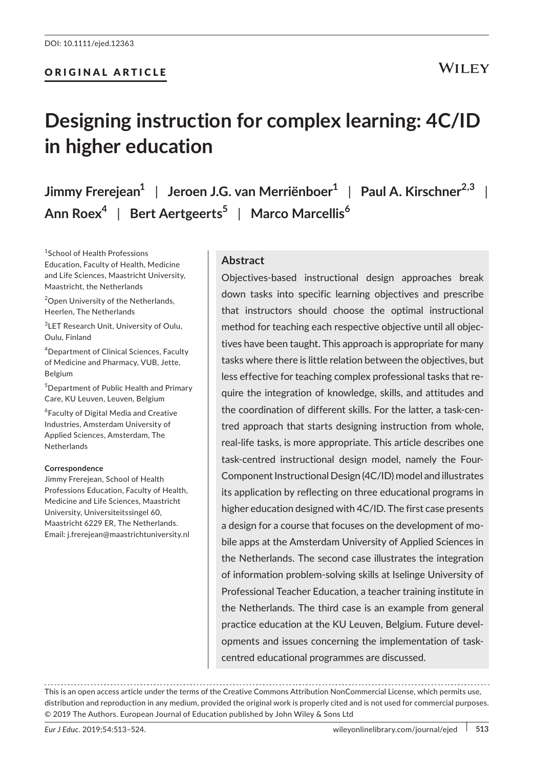#### ORIGINAL ARTICLE

WILEY

# **Designing instruction for complex learning: 4C/ID in higher education**

**Jimmy Frerejean1** | **Jeroen J.G. van Merriënboer1** | **Paul A. Kirschner2,3** | **Ann Roex4** | **Bert Aertgeerts5** | **Marco Marcellis<sup>6</sup>**

1 School of Health Professions Education, Faculty of Health, Medicine and Life Sciences, Maastricht University, Maastricht, the Netherlands

<sup>2</sup>Open University of the Netherlands, Heerlen, The Netherlands

3 LET Research Unit, University of Oulu, Oulu, Finland

4 Department of Clinical Sciences, Faculty of Medicine and Pharmacy, VUB, Jette, Belgium

5 Department of Public Health and Primary Care, KU Leuven, Leuven, Belgium

6 Faculty of Digital Media and Creative Industries, Amsterdam University of Applied Sciences, Amsterdam, The **Netherlands** 

#### **Correspondence**

Jimmy Frerejean, School of Health Professions Education, Faculty of Health, Medicine and Life Sciences, Maastricht University, Universiteitssingel 60, Maastricht 6229 ER, The Netherlands. Email: [j.frerejean@maastrichtuniversity.nl](mailto:j.frerejean@maastrichtuniversity.nl)

#### **Abstract**

Objectives‐based instructional design approaches break down tasks into specific learning objectives and prescribe that instructors should choose the optimal instructional method for teaching each respective objective until all objec‐ tives have been taught. This approach is appropriate for many tasks where there is little relation between the objectives, but less effective for teaching complex professional tasks that re‐ quire the integration of knowledge, skills, and attitudes and the coordination of different skills. For the latter, a task‐cen‐ tred approach that starts designing instruction from whole, real‐life tasks, is more appropriate. This article describes one task‐centred instructional design model, namely the Four‐ Component Instructional Design (4C/ID) model and illustrates its application by reflecting on three educational programs in higher education designed with 4C/ID. The first case presents a design for a course that focuses on the development of mo‐ bile apps at the Amsterdam University of Applied Sciences in the Netherlands. The second case illustrates the integration of information problem‐solving skills at Iselinge University of Professional Teacher Education, a teacher training institute in the Netherlands. The third case is an example from general practice education at the KU Leuven, Belgium. Future devel‐ opments and issues concerning the implementation of task‐ centred educational programmes are discussed.

This is an open access article under the terms of the [Creative Commons Attribution NonCommercial](http://creativecommons.org/licenses/by-nc/4.0/) License, which permits use, distribution and reproduction in any medium, provided the original work is properly cited and is not used for commercial purposes. © 2019 The Authors. European Journal of Education published by John Wiley & Sons Ltd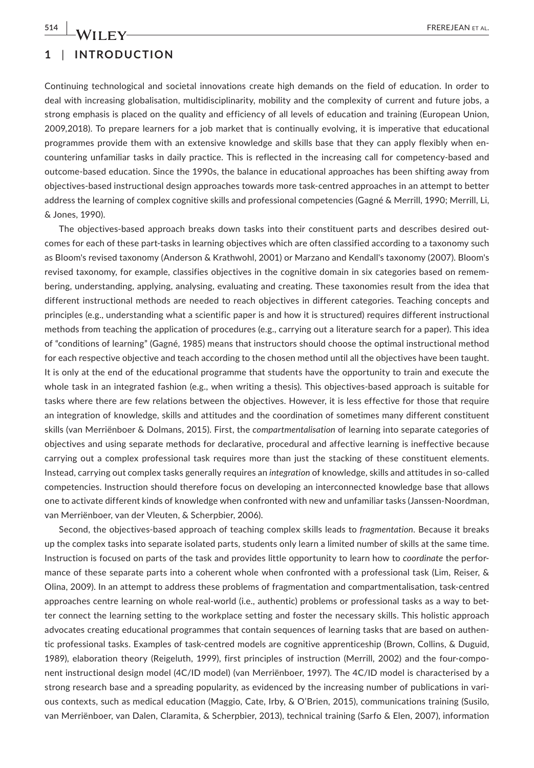### **1** | **INTRODUCTION**

Continuing technological and societal innovations create high demands on the field of education. In order to deal with increasing globalisation, multidisciplinarity, mobility and the complexity of current and future jobs, a strong emphasis is placed on the quality and efficiency of all levels of education and training (European Union, 2009,2018). To prepare learners for a job market that is continually evolving, it is imperative that educational programmes provide them with an extensive knowledge and skills base that they can apply flexibly when encountering unfamiliar tasks in daily practice. This is reflected in the increasing call for competency‐based and outcome‐based education. Since the 1990s, the balance in educational approaches has been shifting away from objectives‐based instructional design approaches towards more task‐centred approaches in an attempt to better address the learning of complex cognitive skills and professional competencies (Gagné & Merrill, 1990; Merrill, Li, & Jones, 1990).

The objectives‐based approach breaks down tasks into their constituent parts and describes desired out‐ comes for each of these part-tasks in learning objectives which are often classified according to a taxonomy such as Bloom's revised taxonomy (Anderson & Krathwohl, 2001) or Marzano and Kendall's taxonomy (2007). Bloom's revised taxonomy, for example, classifies objectives in the cognitive domain in six categories based on remembering, understanding, applying, analysing, evaluating and creating. These taxonomies result from the idea that different instructional methods are needed to reach objectives in different categories. Teaching concepts and principles (e.g., understanding what a scientific paper is and how it is structured) requires different instructional methods from teaching the application of procedures (e.g., carrying out a literature search for a paper). This idea of "conditions of learning" (Gagné, 1985) means that instructors should choose the optimal instructional method for each respective objective and teach according to the chosen method until all the objectives have been taught. It is only at the end of the educational programme that students have the opportunity to train and execute the whole task in an integrated fashion (e.g., when writing a thesis). This objectives-based approach is suitable for tasks where there are few relations between the objectives. However, it is less effective for those that require an integration of knowledge, skills and attitudes and the coordination of sometimes many different constituent skills (van Merriënboer & Dolmans, 2015). First, the *compartmentalisation* of learning into separate categories of objectives and using separate methods for declarative, procedural and affective learning is ineffective because carrying out a complex professional task requires more than just the stacking of these constituent elements. Instead, carrying out complex tasks generally requires an *integration* of knowledge, skills and attitudes in so‐called competencies. Instruction should therefore focus on developing an interconnected knowledge base that allows one to activate different kinds of knowledge when confronted with new and unfamiliar tasks (Janssen‐Noordman, van Merriënboer, van der Vleuten, & Scherpbier, 2006).

Second, the objectives‐based approach of teaching complex skills leads to *fragmentation*. Because it breaks up the complex tasks into separate isolated parts, students only learn a limited number of skills at the same time. Instruction is focused on parts of the task and provides little opportunity to learn how to *coordinate* the perfor‐ mance of these separate parts into a coherent whole when confronted with a professional task (Lim, Reiser, & Olina, 2009). In an attempt to address these problems of fragmentation and compartmentalisation, task‐centred approaches centre learning on whole real-world (i.e., authentic) problems or professional tasks as a way to better connect the learning setting to the workplace setting and foster the necessary skills. This holistic approach advocates creating educational programmes that contain sequences of learning tasks that are based on authen‐ tic professional tasks. Examples of task‐centred models are cognitive apprenticeship (Brown, Collins, & Duguid, 1989), elaboration theory (Reigeluth, 1999), first principles of instruction (Merrill, 2002) and the four‐compo‐ nent instructional design model (4C/ID model) (van Merriënboer, 1997). The 4C/ID model is characterised by a strong research base and a spreading popularity, as evidenced by the increasing number of publications in vari‐ ous contexts, such as medical education (Maggio, Cate, Irby, & O'Brien, 2015), communications training (Susilo, van Merriënboer, van Dalen, Claramita, & Scherpbier, 2013), technical training (Sarfo & Elen, 2007), information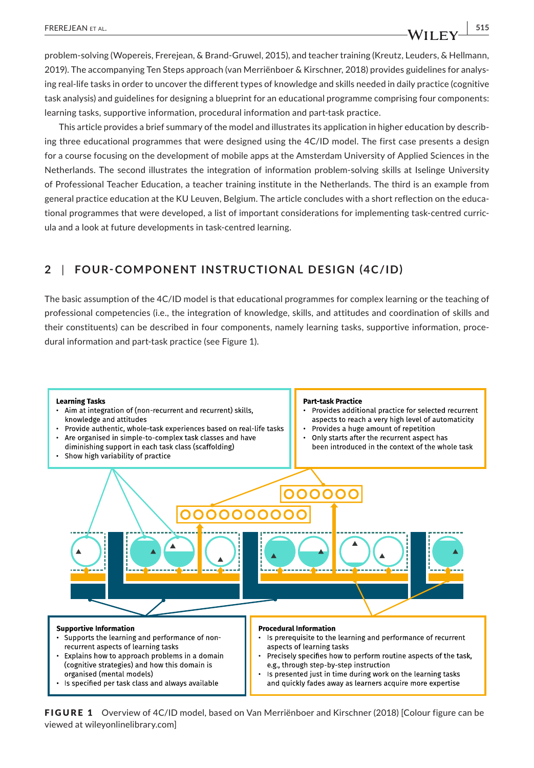problem‐solving (Wopereis, Frerejean, & Brand‐Gruwel, 2015), and teacher training (Kreutz, Leuders, & Hellmann, 2019). The accompanying Ten Steps approach (van Merriënboer & Kirschner, 2018) provides guidelines for analys‐ ing real‐life tasks in order to uncover the different types of knowledge and skills needed in daily practice (cognitive task analysis) and guidelines for designing a blueprint for an educational programme comprising four components: learning tasks, supportive information, procedural information and part‐task practice.

This article provides a brief summary of the model and illustrates its application in higher education by describ‐ ing three educational programmes that were designed using the 4C/ID model. The first case presents a design for a course focusing on the development of mobile apps at the Amsterdam University of Applied Sciences in the Netherlands. The second illustrates the integration of information problem‐solving skills at Iselinge University of Professional Teacher Education, a teacher training institute in the Netherlands. The third is an example from general practice education at the KU Leuven, Belgium. The article concludes with a short reflection on the educational programmes that were developed, a list of important considerations for implementing task-centred curricula and a look at future developments in task‐centred learning.

### **2** | **FOUR‐COMPONENT INSTRUCTIONAL DESIGN (4C/ID)**

The basic assumption of the 4C/ID model is that educational programmes for complex learning or the teaching of professional competencies (i.e., the integration of knowledge, skills, and attitudes and coordination of skills and their constituents) can be described in four components, namely learning tasks, supportive information, proce‐ dural information and part-task practice (see Figure 1).



FIGURE 1 Overview of 4C/ID model, based on Van Merriënboer and Kirschner (2018) [Colour figure can be viewed at [wileyonlinelibrary.com](www.wileyonlinelibrary.com)]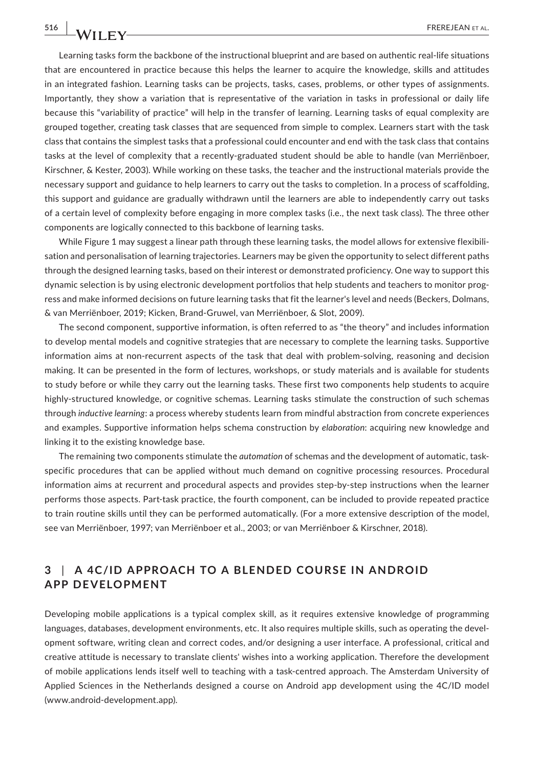Learning tasks form the backbone of the instructional blueprint and are based on authentic real‐life situations that are encountered in practice because this helps the learner to acquire the knowledge, skills and attitudes in an integrated fashion. Learning tasks can be projects, tasks, cases, problems, or other types of assignments. Importantly, they show a variation that is representative of the variation in tasks in professional or daily life because this "variability of practice" will help in the transfer of learning. Learning tasks of equal complexity are grouped together, creating task classes that are sequenced from simple to complex. Learners start with the task class that contains the simplest tasks that a professional could encounter and end with the task class that contains tasks at the level of complexity that a recently‐graduated student should be able to handle (van Merriënboer, Kirschner, & Kester, 2003). While working on these tasks, the teacher and the instructional materials provide the necessary support and guidance to help learners to carry out the tasks to completion. In a process of scaffolding, this support and guidance are gradually withdrawn until the learners are able to independently carry out tasks of a certain level of complexity before engaging in more complex tasks (i.e., the next task class). The three other components are logically connected to this backbone of learning tasks.

While Figure 1 may suggest a linear path through these learning tasks, the model allows for extensive flexibilisation and personalisation of learning trajectories. Learners may be given the opportunity to select different paths through the designed learning tasks, based on their interest or demonstrated proficiency. One way to support this dynamic selection is by using electronic development portfolios that help students and teachers to monitor prog‐ ress and make informed decisions on future learning tasks that fit the learner's level and needs (Beckers, Dolmans, & van Merriënboer, 2019; Kicken, Brand‐Gruwel, van Merriënboer, & Slot, 2009).

The second component, supportive information, is often referred to as "the theory" and includes information to develop mental models and cognitive strategies that are necessary to complete the learning tasks. Supportive information aims at non‐recurrent aspects of the task that deal with problem‐solving, reasoning and decision making. It can be presented in the form of lectures, workshops, or study materials and is available for students to study before or while they carry out the learning tasks. These first two components help students to acquire highly-structured knowledge, or cognitive schemas. Learning tasks stimulate the construction of such schemas through *inductive learning*: a process whereby students learn from mindful abstraction from concrete experiences and examples. Supportive information helps schema construction by *elaboration*: acquiring new knowledge and linking it to the existing knowledge base.

The remaining two components stimulate the *automation* of schemas and the development of automatic, task‐ specific procedures that can be applied without much demand on cognitive processing resources. Procedural information aims at recurrent and procedural aspects and provides step‐by‐step instructions when the learner performs those aspects. Part-task practice, the fourth component, can be included to provide repeated practice to train routine skills until they can be performed automatically. (For a more extensive description of the model, see van Merriënboer, 1997; van Merriënboer et al., 2003; or van Merriënboer & Kirschner, 2018).

### **3** | **A 4C/ID APPROACH TO A BLENDED COURSE IN ANDROID APP DEVELOPMENT**

Developing mobile applications is a typical complex skill, as it requires extensive knowledge of programming languages, databases, development environments, etc. It also requires multiple skills, such as operating the devel‐ opment software, writing clean and correct codes, and/or designing a user interface. A professional, critical and creative attitude is necessary to translate clients' wishes into a working application. Therefore the development of mobile applications lends itself well to teaching with a task‐centred approach. The Amsterdam University of Applied Sciences in the Netherlands designed a course on Android app development using the 4C/ID model ([www.android-development.app](http://www.android-development.app)).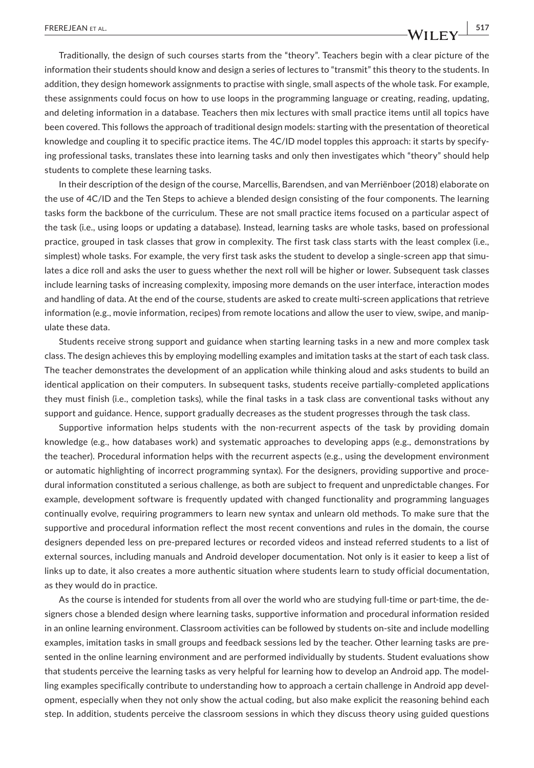Traditionally, the design of such courses starts from the "theory". Teachers begin with a clear picture of the information their students should know and design a series of lectures to "transmit" this theory to the students. In addition, they design homework assignments to practise with single, small aspects of the whole task. For example, these assignments could focus on how to use loops in the programming language or creating, reading, updating, and deleting information in a database. Teachers then mix lectures with small practice items until all topics have been covered. This follows the approach of traditional design models: starting with the presentation of theoretical knowledge and coupling it to specific practice items. The 4C/ID model topples this approach: it starts by specifying professional tasks, translates these into learning tasks and only then investigates which "theory" should help students to complete these learning tasks.

In their description of the design of the course, Marcellis, Barendsen, and van Merriënboer (2018) elaborate on the use of 4C/ID and the Ten Steps to achieve a blended design consisting of the four components. The learning tasks form the backbone of the curriculum. These are not small practice items focused on a particular aspect of the task (i.e., using loops or updating a database). Instead, learning tasks are whole tasks, based on professional practice, grouped in task classes that grow in complexity. The first task class starts with the least complex (i.e., simplest) whole tasks. For example, the very first task asks the student to develop a single-screen app that simulates a dice roll and asks the user to guess whether the next roll will be higher or lower. Subsequent task classes include learning tasks of increasing complexity, imposing more demands on the user interface, interaction modes and handling of data. At the end of the course, students are asked to create multi-screen applications that retrieve information (e.g., movie information, recipes) from remote locations and allow the user to view, swipe, and manip‐ ulate these data.

Students receive strong support and guidance when starting learning tasks in a new and more complex task class. The design achieves this by employing modelling examples and imitation tasks at the start of each task class. The teacher demonstrates the development of an application while thinking aloud and asks students to build an identical application on their computers. In subsequent tasks, students receive partially-completed applications they must finish (i.e., completion tasks), while the final tasks in a task class are conventional tasks without any support and guidance. Hence, support gradually decreases as the student progresses through the task class.

Supportive information helps students with the non-recurrent aspects of the task by providing domain knowledge (e.g., how databases work) and systematic approaches to developing apps (e.g., demonstrations by the teacher). Procedural information helps with the recurrent aspects (e.g., using the development environment or automatic highlighting of incorrect programming syntax). For the designers, providing supportive and proce‐ dural information constituted a serious challenge, as both are subject to frequent and unpredictable changes. For example, development software is frequently updated with changed functionality and programming languages continually evolve, requiring programmers to learn new syntax and unlearn old methods. To make sure that the supportive and procedural information reflect the most recent conventions and rules in the domain, the course designers depended less on pre‐prepared lectures or recorded videos and instead referred students to a list of external sources, including manuals and Android developer documentation. Not only is it easier to keep a list of links up to date, it also creates a more authentic situation where students learn to study official documentation, as they would do in practice.

As the course is intended for students from all over the world who are studying full-time or part-time, the designers chose a blended design where learning tasks, supportive information and procedural information resided in an online learning environment. Classroom activities can be followed by students on‐site and include modelling examples, imitation tasks in small groups and feedback sessions led by the teacher. Other learning tasks are pre‐ sented in the online learning environment and are performed individually by students. Student evaluations show that students perceive the learning tasks as very helpful for learning how to develop an Android app. The model‐ ling examples specifically contribute to understanding how to approach a certain challenge in Android app devel‐ opment, especially when they not only show the actual coding, but also make explicit the reasoning behind each step. In addition, students perceive the classroom sessions in which they discuss theory using guided questions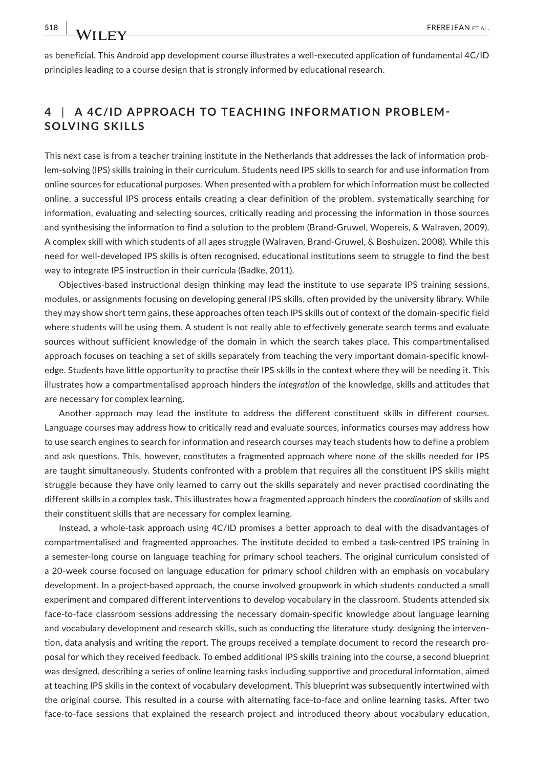as beneficial. This Android app development course illustrates a well‐executed application of fundamental 4C/ID principles leading to a course design that is strongly informed by educational research.

### **4** | **A 4C/ID APPROACH TO TEACHING INFORMATION PROBLEM‐ SOLVING SKILLS**

This next case is from a teacher training institute in the Netherlands that addresses the lack of information prob‐ lem-solving (IPS) skills training in their curriculum. Students need IPS skills to search for and use information from online sources for educational purposes. When presented with a problem for which information must be collected online, a successful IPS process entails creating a clear definition of the problem, systematically searching for information, evaluating and selecting sources, critically reading and processing the information in those sources and synthesising the information to find a solution to the problem (Brand‐Gruwel, Wopereis, & Walraven, 2009). A complex skill with which students of all ages struggle (Walraven, Brand‐Gruwel, & Boshuizen, 2008). While this need for well-developed IPS skills is often recognised, educational institutions seem to struggle to find the best way to integrate IPS instruction in their curricula (Badke, 2011).

Objectives‐based instructional design thinking may lead the institute to use separate IPS training sessions, modules, or assignments focusing on developing general IPS skills, often provided by the university library. While they may show short term gains, these approaches often teach IPS skills out of context of the domain‐specific field where students will be using them. A student is not really able to effectively generate search terms and evaluate sources without sufficient knowledge of the domain in which the search takes place. This compartmentalised approach focuses on teaching a set of skills separately from teaching the very important domain-specific knowledge. Students have little opportunity to practise their IPS skills in the context where they will be needing it. This illustrates how a compartmentalised approach hinders the *integration* of the knowledge, skills and attitudes that are necessary for complex learning.

Another approach may lead the institute to address the different constituent skills in different courses. Language courses may address how to critically read and evaluate sources, informatics courses may address how to use search engines to search for information and research courses may teach students how to define a problem and ask questions. This, however, constitutes a fragmented approach where none of the skills needed for IPS are taught simultaneously. Students confronted with a problem that requires all the constituent IPS skills might struggle because they have only learned to carry out the skills separately and never practised coordinating the different skills in a complex task. This illustrates how a fragmented approach hinders the *coordination* of skills and their constituent skills that are necessary for complex learning.

Instead, a whole‐task approach using 4C/ID promises a better approach to deal with the disadvantages of compartmentalised and fragmented approaches. The institute decided to embed a task-centred IPS training in a semester‐long course on language teaching for primary school teachers. The original curriculum consisted of a 20-week course focused on language education for primary school children with an emphasis on vocabulary development. In a project‐based approach, the course involved groupwork in which students conducted a small experiment and compared different interventions to develop vocabulary in the classroom. Students attended six face-to-face classroom sessions addressing the necessary domain-specific knowledge about language learning and vocabulary development and research skills, such as conducting the literature study, designing the interven‐ tion, data analysis and writing the report. The groups received a template document to record the research pro‐ posal for which they received feedback. To embed additional IPS skills training into the course, a second blueprint was designed, describing a series of online learning tasks including supportive and procedural information, aimed at teaching IPS skills in the context of vocabulary development. This blueprint was subsequently intertwined with the original course. This resulted in a course with alternating face‐to‐face and online learning tasks. After two face-to-face sessions that explained the research project and introduced theory about vocabulary education,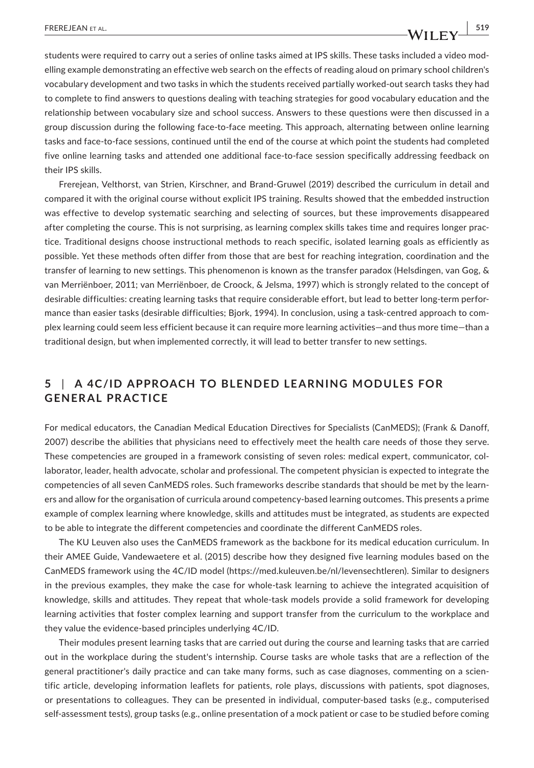students were required to carry out a series of online tasks aimed at IPS skills. These tasks included a video mod‐ elling example demonstrating an effective web search on the effects of reading aloud on primary school children's vocabulary development and two tasks in which the students received partially worked‐out search tasks they had to complete to find answers to questions dealing with teaching strategies for good vocabulary education and the relationship between vocabulary size and school success. Answers to these questions were then discussed in a group discussion during the following face‐to‐face meeting. This approach, alternating between online learning tasks and face‐to‐face sessions, continued until the end of the course at which point the students had completed five online learning tasks and attended one additional face-to-face session specifically addressing feedback on their IPS skills.

Frerejean, Velthorst, van Strien, Kirschner, and Brand‐Gruwel (2019) described the curriculum in detail and compared it with the original course without explicit IPS training. Results showed that the embedded instruction was effective to develop systematic searching and selecting of sources, but these improvements disappeared after completing the course. This is not surprising, as learning complex skills takes time and requires longer prac‐ tice. Traditional designs choose instructional methods to reach specific, isolated learning goals as efficiently as possible. Yet these methods often differ from those that are best for reaching integration, coordination and the transfer of learning to new settings. This phenomenon is known as the transfer paradox (Helsdingen, van Gog, & van Merriënboer, 2011; van Merriënboer, de Croock, & Jelsma, 1997) which is strongly related to the concept of desirable difficulties: creating learning tasks that require considerable effort, but lead to better long-term performance than easier tasks (desirable difficulties; Bjork, 1994). In conclusion, using a task-centred approach to complex learning could seem less efficient because it can require more learning activities—and thus more time—than a traditional design, but when implemented correctly, it will lead to better transfer to new settings.

### **5** | **A 4C/ID APPROACH TO BLENDED LE ARNING MODULES FOR GENERAL PRACTICE**

For medical educators, the Canadian Medical Education Directives for Specialists (CanMEDS); (Frank & Danoff, 2007) describe the abilities that physicians need to effectively meet the health care needs of those they serve. These competencies are grouped in a framework consisting of seven roles: medical expert, communicator, col‐ laborator, leader, health advocate, scholar and professional. The competent physician is expected to integrate the competencies of all seven CanMEDS roles. Such frameworks describe standards that should be met by the learners and allow for the organisation of curricula around competency-based learning outcomes. This presents a prime example of complex learning where knowledge, skills and attitudes must be integrated, as students are expected to be able to integrate the different competencies and coordinate the different CanMEDS roles.

The KU Leuven also uses the CanMEDS framework as the backbone for its medical education curriculum. In their AMEE Guide, Vandewaetere et al. (2015) describe how they designed five learning modules based on the CanMEDS framework using the 4C/ID model [\(https://med.kuleuven.be/nl/levensechtleren](https://med.kuleuven.be/nl/levensechtleren)). Similar to designers in the previous examples, they make the case for whole‐task learning to achieve the integrated acquisition of knowledge, skills and attitudes. They repeat that whole‐task models provide a solid framework for developing learning activities that foster complex learning and support transfer from the curriculum to the workplace and they value the evidence‐based principles underlying 4C/ID.

Their modules present learning tasks that are carried out during the course and learning tasks that are carried out in the workplace during the student's internship. Course tasks are whole tasks that are a reflection of the general practitioner's daily practice and can take many forms, such as case diagnoses, commenting on a scien‐ tific article, developing information leaflets for patients, role plays, discussions with patients, spot diagnoses, or presentations to colleagues. They can be presented in individual, computer‐based tasks (e.g., computerised self-assessment tests), group tasks (e.g., online presentation of a mock patient or case to be studied before coming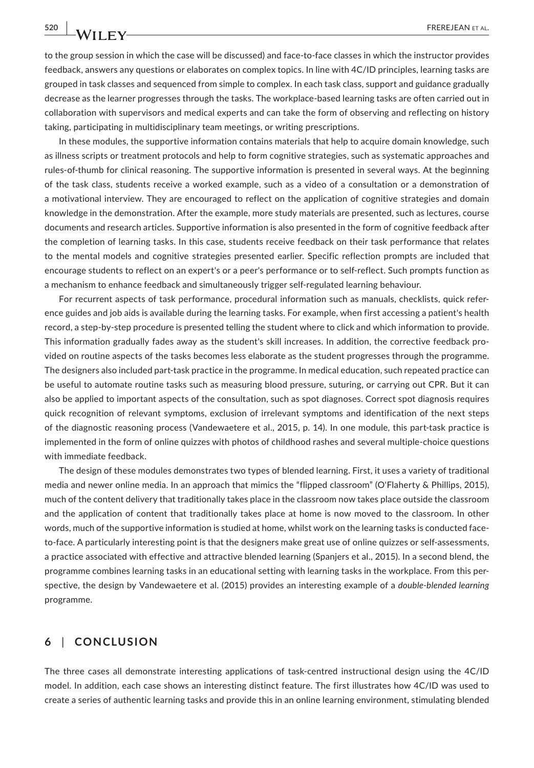to the group session in which the case will be discussed) and face‐to‐face classes in which the instructor provides feedback, answers any questions or elaborates on complex topics. In line with 4C/ID principles, learning tasks are grouped in task classes and sequenced from simple to complex. In each task class, support and guidance gradually decrease as the learner progresses through the tasks. The workplace-based learning tasks are often carried out in collaboration with supervisors and medical experts and can take the form of observing and reflecting on history taking, participating in multidisciplinary team meetings, or writing prescriptions.

In these modules, the supportive information contains materials that help to acquire domain knowledge, such as illness scripts or treatment protocols and help to form cognitive strategies, such as systematic approaches and rules-of-thumb for clinical reasoning. The supportive information is presented in several ways. At the beginning of the task class, students receive a worked example, such as a video of a consultation or a demonstration of a motivational interview. They are encouraged to reflect on the application of cognitive strategies and domain knowledge in the demonstration. After the example, more study materials are presented, such as lectures, course documents and research articles. Supportive information is also presented in the form of cognitive feedback after the completion of learning tasks. In this case, students receive feedback on their task performance that relates to the mental models and cognitive strategies presented earlier. Specific reflection prompts are included that encourage students to reflect on an expert's or a peer's performance or to self‐reflect. Such prompts function as a mechanism to enhance feedback and simultaneously trigger self-regulated learning behaviour.

For recurrent aspects of task performance, procedural information such as manuals, checklists, quick reference guides and job aids is available during the learning tasks. For example, when first accessing a patient's health record, a step‐by‐step procedure is presented telling the student where to click and which information to provide. This information gradually fades away as the student's skill increases. In addition, the corrective feedback pro‐ vided on routine aspects of the tasks becomes less elaborate as the student progresses through the programme. The designers also included part-task practice in the programme. In medical education, such repeated practice can be useful to automate routine tasks such as measuring blood pressure, suturing, or carrying out CPR. But it can also be applied to important aspects of the consultation, such as spot diagnoses. Correct spot diagnosis requires quick recognition of relevant symptoms, exclusion of irrelevant symptoms and identification of the next steps of the diagnostic reasoning process (Vandewaetere et al., 2015, p. 14). In one module, this part-task practice is implemented in the form of online quizzes with photos of childhood rashes and several multiple‐choice questions with immediate feedback.

The design of these modules demonstrates two types of blended learning. First, it uses a variety of traditional media and newer online media. In an approach that mimics the "flipped classroom" (O'Flaherty & Phillips, 2015), much of the content delivery that traditionally takes place in the classroom now takes place outside the classroom and the application of content that traditionally takes place at home is now moved to the classroom. In other words, much of the supportive information is studied at home, whilst work on the learning tasks is conducted faceto-face. A particularly interesting point is that the designers make great use of online quizzes or self-assessments, a practice associated with effective and attractive blended learning (Spanjers et al., 2015). In a second blend, the programme combines learning tasks in an educational setting with learning tasks in the workplace. From this perspective, the design by Vandewaetere et al. (2015) provides an interesting example of a *double‐blended learning* programme.

### **6** | **CONCLUSION**

The three cases all demonstrate interesting applications of task-centred instructional design using the 4C/ID model. In addition, each case shows an interesting distinct feature. The first illustrates how 4C/ID was used to create a series of authentic learning tasks and provide this in an online learning environment, stimulating blended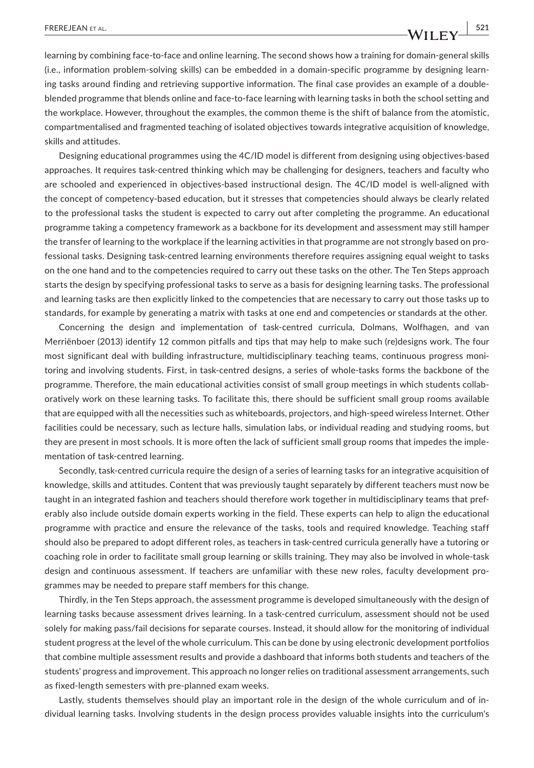learning by combining face‐to‐face and online learning. The second shows how a training for domain‐general skills (i.e., information problem‐solving skills) can be embedded in a domain‐specific programme by designing learn‐ ing tasks around finding and retrieving supportive information. The final case provides an example of a double‐ blended programme that blends online and face‐to‐face learning with learning tasks in both the school setting and the workplace. However, throughout the examples, the common theme is the shift of balance from the atomistic, compartmentalised and fragmented teaching of isolated objectives towards integrative acquisition of knowledge, skills and attitudes.

Designing educational programmes using the 4C/ID model is different from designing using objectives‐based approaches. It requires task‐centred thinking which may be challenging for designers, teachers and faculty who are schooled and experienced in objectives-based instructional design. The 4C/ID model is well-aligned with the concept of competency‐based education, but it stresses that competencies should always be clearly related to the professional tasks the student is expected to carry out after completing the programme. An educational programme taking a competency framework as a backbone for its development and assessment may still hamper the transfer of learning to the workplace if the learning activities in that programme are not strongly based on professional tasks. Designing task‐centred learning environments therefore requires assigning equal weight to tasks on the one hand and to the competencies required to carry out these tasks on the other. The Ten Steps approach starts the design by specifying professional tasks to serve as a basis for designing learning tasks. The professional and learning tasks are then explicitly linked to the competencies that are necessary to carry out those tasks up to standards, for example by generating a matrix with tasks at one end and competencies or standards at the other.

Concerning the design and implementation of task‐centred curricula, Dolmans, Wolfhagen, and van Merriënboer (2013) identify 12 common pitfalls and tips that may help to make such (re)designs work. The four most significant deal with building infrastructure, multidisciplinary teaching teams, continuous progress moni‐ toring and involving students. First, in task-centred designs, a series of whole-tasks forms the backbone of the programme. Therefore, the main educational activities consist of small group meetings in which students collaboratively work on these learning tasks. To facilitate this, there should be sufficient small group rooms available that are equipped with all the necessities such as whiteboards, projectors, and high‐speed wireless Internet. Other facilities could be necessary, such as lecture halls, simulation labs, or individual reading and studying rooms, but they are present in most schools. It is more often the lack of sufficient small group rooms that impedes the implementation of task‐centred learning.

Secondly, task‐centred curricula require the design of a series of learning tasks for an integrative acquisition of knowledge, skills and attitudes. Content that was previously taught separately by different teachers must now be taught in an integrated fashion and teachers should therefore work together in multidisciplinary teams that pref‐ erably also include outside domain experts working in the field. These experts can help to align the educational programme with practice and ensure the relevance of the tasks, tools and required knowledge. Teaching staff should also be prepared to adopt different roles, as teachers in task‐centred curricula generally have a tutoring or coaching role in order to facilitate small group learning or skills training. They may also be involved in whole‐task design and continuous assessment. If teachers are unfamiliar with these new roles, faculty development programmes may be needed to prepare staff members for this change.

Thirdly, in the Ten Steps approach, the assessment programme is developed simultaneously with the design of learning tasks because assessment drives learning. In a task‐centred curriculum, assessment should not be used solely for making pass/fail decisions for separate courses. Instead, it should allow for the monitoring of individual student progress at the level of the whole curriculum. This can be done by using electronic development portfolios that combine multiple assessment results and provide a dashboard that informs both students and teachers of the students' progress and improvement. This approach no longer relies on traditional assessment arrangements, such as fixed‐length semesters with pre‐planned exam weeks.

Lastly, students themselves should play an important role in the design of the whole curriculum and of in‐ dividual learning tasks. Involving students in the design process provides valuable insights into the curriculum's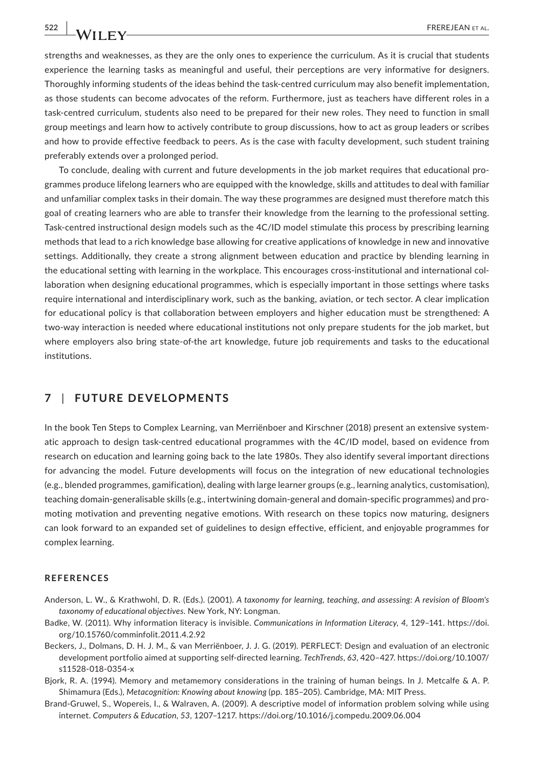strengths and weaknesses, as they are the only ones to experience the curriculum. As it is crucial that students experience the learning tasks as meaningful and useful, their perceptions are very informative for designers. Thoroughly informing students of the ideas behind the task-centred curriculum may also benefit implementation, as those students can become advocates of the reform. Furthermore, just as teachers have different roles in a task‐centred curriculum, students also need to be prepared for their new roles. They need to function in small group meetings and learn how to actively contribute to group discussions, how to act as group leaders or scribes and how to provide effective feedback to peers. As is the case with faculty development, such student training preferably extends over a prolonged period.

To conclude, dealing with current and future developments in the job market requires that educational pro‐ grammes produce lifelong learners who are equipped with the knowledge, skills and attitudes to deal with familiar and unfamiliar complex tasks in their domain. The way these programmes are designed must therefore match this goal of creating learners who are able to transfer their knowledge from the learning to the professional setting. Task‐centred instructional design models such as the 4C/ID model stimulate this process by prescribing learning methods that lead to a rich knowledge base allowing for creative applications of knowledge in new and innovative settings. Additionally, they create a strong alignment between education and practice by blending learning in the educational setting with learning in the workplace. This encourages cross-institutional and international collaboration when designing educational programmes, which is especially important in those settings where tasks require international and interdisciplinary work, such as the banking, aviation, or tech sector. A clear implication for educational policy is that collaboration between employers and higher education must be strengthened: A two‐way interaction is needed where educational institutions not only prepare students for the job market, but where employers also bring state‐of‐the art knowledge, future job requirements and tasks to the educational institutions.

#### **7** | **FUTURE DEVELOPMENTS**

In the book Ten Steps to Complex Learning, van Merriënboer and Kirschner (2018) present an extensive system‐ atic approach to design task‐centred educational programmes with the 4C/ID model, based on evidence from research on education and learning going back to the late 1980s. They also identify several important directions for advancing the model. Future developments will focus on the integration of new educational technologies (e.g., blended programmes, gamification), dealing with large learner groups (e.g., learning analytics, customisation), teaching domain‐generalisable skills (e.g., intertwining domain‐general and domain‐specific programmes) and pro‐ moting motivation and preventing negative emotions. With research on these topics now maturing, designers can look forward to an expanded set of guidelines to design effective, efficient, and enjoyable programmes for complex learning.

#### **REFERENCES**

- Anderson, L. W., & Krathwohl, D. R. (Eds.). (2001). *A taxonomy for learning, teaching, and assessing: A revision of Bloom's taxonomy of educational objectives*. New York, NY: Longman.
- Badke, W. (2011). Why information literacy is invisible. *Communications in Information Literacy*, *4*, 129–141. [https://doi.](https://doi.org/10.15760/comminfolit.2011.4.2.92) [org/10.15760/comminfolit.2011.4.2.92](https://doi.org/10.15760/comminfolit.2011.4.2.92)
- Beckers, J., Dolmans, D. H. J. M., & van Merriënboer, J. J. G. (2019). PERFLECT: Design and evaluation of an electronic development portfolio aimed at supporting self‐directed learning. *TechTrends*, *63*, 420–427. [https://doi.org/10.1007/](https://doi.org/10.1007/s11528-018-0354-x) [s11528-018-0354-x](https://doi.org/10.1007/s11528-018-0354-x)
- Bjork, R. A. (1994). Memory and metamemory considerations in the training of human beings. In J. Metcalfe & A. P. Shimamura (Eds.), *Metacognition: Knowing about knowing* (pp. 185–205). Cambridge, MA: MIT Press.
- Brand‐Gruwel, S., Wopereis, I., & Walraven, A. (2009). A descriptive model of information problem solving while using internet. *Computers & Education*, *53*, 1207–1217.<https://doi.org/10.1016/j.compedu.2009.06.004>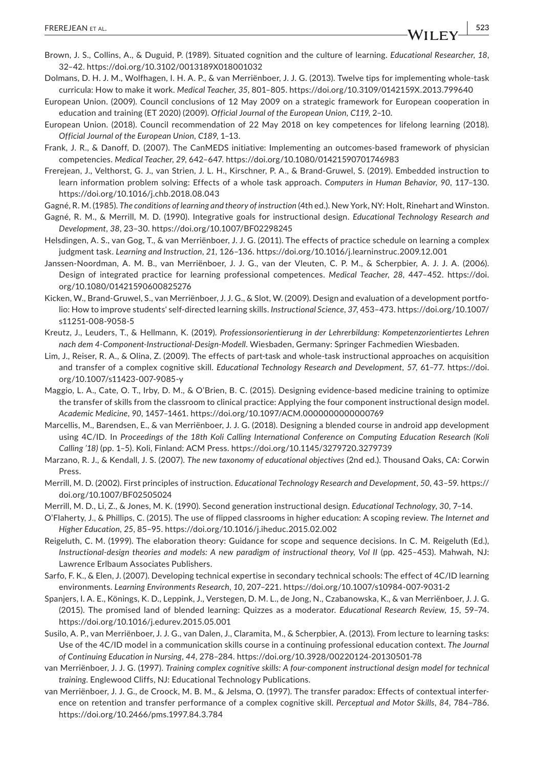- Brown, J. S., Collins, A., & Duguid, P. (1989). Situated cognition and the culture of learning. *Educational Researcher*, *18*, 32–42. <https://doi.org/10.3102/0013189X018001032>
- Dolmans, D. H. J. M., Wolfhagen, I. H. A. P., & van Merriënboer, J. J. G. (2013). Twelve tips for implementing whole‐task curricula: How to make it work. *Medical Teacher*, *35*, 801–805. <https://doi.org/10.3109/0142159X.2013.799640>
- European Union. (2009). Council conclusions of 12 May 2009 on a strategic framework for European cooperation in education and training (ET 2020) (2009). *Official Journal of the European Union*, *C119*, 2–10.
- European Union. (2018). Council recommendation of 22 May 2018 on key competences for lifelong learning (2018). *Official Journal of the European Union*, *C189*, 1–13.
- Frank, J. R., & Danoff, D. (2007). The CanMEDS initiative: Implementing an outcomes‐based framework of physician competencies. *Medical Teacher*, *29*, 642–647.<https://doi.org/10.1080/01421590701746983>
- Frerejean, J., Velthorst, G. J., van Strien, J. L. H., Kirschner, P. A., & Brand‐Gruwel, S. (2019). Embedded instruction to learn information problem solving: Effects of a whole task approach. *Computers in Human Behavior*, *90*, 117–130. <https://doi.org/10.1016/j.chb.2018.08.043>
- Gagné, R. M. (1985). *The conditions of learning and theory of instruction* (4th ed.). New York, NY: Holt, Rinehart and Winston.
- Gagné, R. M., & Merrill, M. D. (1990). Integrative goals for instructional design. *Educational Technology Research and Development*, *38*, 23–30.<https://doi.org/10.1007/BF02298245>
- Helsdingen, A. S., van Gog, T., & van Merriënboer, J. J. G. (2011). The effects of practice schedule on learning a complex judgment task. *Learning and Instruction*, *21*, 126–136.<https://doi.org/10.1016/j.learninstruc.2009.12.001>
- Janssen-Noordman, A. M. B., van Merriënboer, J. J. G., van der Vleuten, C. P. M., & Scherpbier, A. J. J. A. (2006). Design of integrated practice for learning professional competences. *Medical Teacher*, *28*, 447–452. [https://doi.](https://doi.org/10.1080/01421590600825276) [org/10.1080/01421590600825276](https://doi.org/10.1080/01421590600825276)
- Kicken, W., Brand‐Gruwel, S., van Merriënboer, J. J. G., & Slot, W. (2009). Design and evaluation of a development portfo‐ lio: How to improve students' self‐directed learning skills. *Instructional Science*, *37*, 453–473. [https://doi.org/10.1007/](https://doi.org/10.1007/s11251-008-9058-5) [s11251-008-9058-5](https://doi.org/10.1007/s11251-008-9058-5)
- Kreutz, J., Leuders, T., & Hellmann, K. (2019). *Professionsorientierung in der Lehrerbildung: Kompetenzorientiertes Lehren nach dem 4‐Component‐Instructional‐Design‐Modell*. Wiesbaden, Germany: Springer Fachmedien Wiesbaden.
- Lim, J., Reiser, R. A., & Olina, Z. (2009). The effects of part-task and whole-task instructional approaches on acquisition and transfer of a complex cognitive skill. *Educational Technology Research and Development*, *57*, 61–77. [https://doi.](https://doi.org/10.1007/s11423-007-9085-y) [org/10.1007/s11423-007-9085-y](https://doi.org/10.1007/s11423-007-9085-y)
- Maggio, L. A., Cate, O. T., Irby, D. M., & O'Brien, B. C. (2015). Designing evidence-based medicine training to optimize the transfer of skills from the classroom to clinical practice: Applying the four component instructional design model. *Academic Medicine*, *90*, 1457–1461.<https://doi.org/10.1097/ACM.0000000000000769>
- Marcellis, M., Barendsen, E., & van Merriënboer, J. J. G. (2018). Designing a blended course in android app development using 4C/ID. In *Proceedings of the 18th Koli Calling International Conference on Computing Education Research (Koli Calling '18)* (pp. 1–5). Koli, Finland: ACM Press.<https://doi.org/10.1145/3279720.3279739>
- Marzano, R. J., & Kendall, J. S. (2007). *The new taxonomy of educational objectives* (2nd ed.). Thousand Oaks, CA: Corwin Press.
- Merrill, M. D. (2002). First principles of instruction. *Educational Technology Research and Development*, *50*, 43–59. [https://](https://doi.org/10.1007/BF02505024) [doi.org/10.1007/BF02505024](https://doi.org/10.1007/BF02505024)
- Merrill, M. D., Li, Z., & Jones, M. K. (1990). Second generation instructional design. *Educational Technology*, *30*, 7–14.
- O'Flaherty, J., & Phillips, C. (2015). The use of flipped classrooms in higher education: A scoping review. *The Internet and Higher Education*, *25*, 85–95. <https://doi.org/10.1016/j.iheduc.2015.02.002>
- Reigeluth, C. M. (1999). The elaboration theory: Guidance for scope and sequence decisions. In C. M. Reigeluth (Ed.), *Instructional-design theories and models: A new paradigm of instructional theory, Vol II (pp. 425-453). Mahwah, NJ:* Lawrence Erlbaum Associates Publishers.
- Sarfo, F. K., & Elen, J. (2007). Developing technical expertise in secondary technical schools: The effect of 4C/ID learning environments. *Learning Environments Research*, *10*, 207–221.<https://doi.org/10.1007/s10984-007-9031-2>
- Spanjers, I. A. E., Könings, K. D., Leppink, J., Verstegen, D. M. L., de Jong, N., Czabanowska, K., & van Merriënboer, J. J. G. (2015). The promised land of blended learning: Quizzes as a moderator. *Educational Research Review*, *15*, 59–74. <https://doi.org/10.1016/j.edurev.2015.05.001>
- Susilo, A. P., van Merriënboer, J. J. G., van Dalen, J., Claramita, M., & Scherpbier, A. (2013). From lecture to learning tasks: Use of the 4C/ID model in a communication skills course in a continuing professional education context. *The Journal of Continuing Education in Nursing*, *44*, 278–284.<https://doi.org/10.3928/00220124-20130501-78>
- van Merriënboer, J. J. G. (1997). *Training complex cognitive skills: A four‐component instructional design model for technical training*. Englewood Cliffs, NJ: Educational Technology Publications.
- van Merriënboer, J. J. G., de Croock, M. B. M., & Jelsma, O. (1997). The transfer paradox: Effects of contextual interfer‐ ence on retention and transfer performance of a complex cognitive skill. *Perceptual and Motor Skills*, *84*, 784–786. <https://doi.org/10.2466/pms.1997.84.3.784>